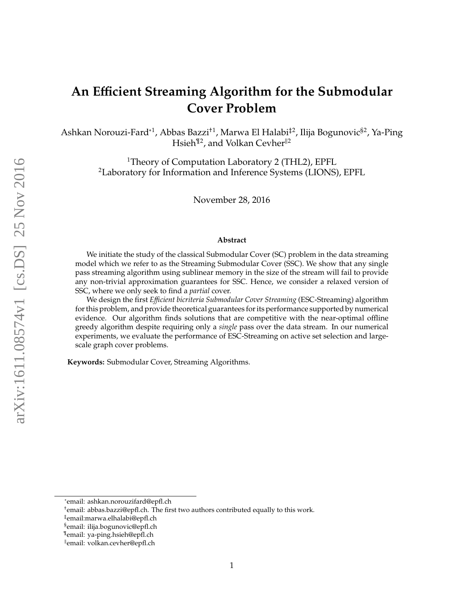# <span id="page-0-0"></span>**An E**ffi**cient Streaming Algorithm for the Submodular Cover Problem**

Ashkan Norouzi-Fard\*<sup>1</sup>, Abbas Bazzi<sup>+1</sup>, Marwa El Halabi<sup>‡2</sup>, Ilija Bogunovic<sup>§2</sup>, Ya-Ping Hsieh<sup>¶2</sup>, and Volkan Cevher<sup>||2</sup>

> <sup>1</sup>Theory of Computation Laboratory 2 (THL2), EPFL <sup>2</sup>Laboratory for Information and Inference Systems (LIONS), EPFL

> > November 28, 2016

#### **Abstract**

We initiate the study of the classical Submodular Cover (SC) problem in the data streaming model which we refer to as the Streaming Submodular Cover (SSC). We show that any single pass streaming algorithm using sublinear memory in the size of the stream will fail to provide any non-trivial approximation guarantees for SSC. Hence, we consider a relaxed version of SSC, where we only seek to find a *partial* cover.

We design the first *E*ffi*cient bicriteria Submodular Cover Streaming* (ESC-Streaming) algorithm for this problem, and provide theoretical guarantees for its performance supported by numerical evidence. Our algorithm finds solutions that are competitive with the near-optimal offline greedy algorithm despite requiring only a *single* pass over the data stream. In our numerical experiments, we evaluate the performance of ESC-Streaming on active set selection and largescale graph cover problems.

**Keywords:** Submodular Cover, Streaming Algorithms.

<sup>∗</sup> email: ashkan.norouzifard@epfl.ch

<sup>†</sup> email: abbas.bazzi@epfl.ch. The first two authors contributed equally to this work.

<sup>‡</sup> email:marwa.elhalabi@epfl.ch

<sup>§</sup> email: ilija.bogunovic@epfl.ch

<sup>¶</sup> email: ya-ping.hsieh@epfl.ch

k email: volkan.cevher@epfl.ch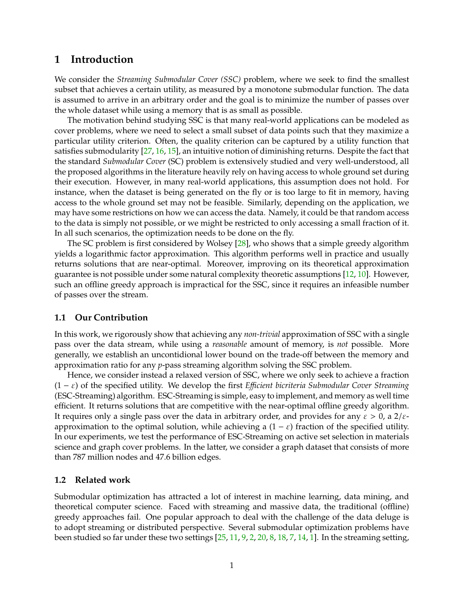### **1 Introduction**

We consider the *Streaming Submodular Cover (SSC)* problem, where we seek to find the smallest subset that achieves a certain utility, as measured by a monotone submodular function. The data is assumed to arrive in an arbitrary order and the goal is to minimize the number of passes over the whole dataset while using a memory that is as small as possible.

The motivation behind studying SSC is that many real-world applications can be modeled as cover problems, where we need to select a small subset of data points such that they maximize a particular utility criterion. Often, the quality criterion can be captured by a utility function that satisfies submodularity [\[27,](#page-16-0) [16,](#page-15-0) [15\]](#page-15-1), an intuitive notion of diminishing returns. Despite the fact that the standard *Submodular Cover* (SC) problem is extensively studied and very well-understood, all the proposed algorithms in the literature heavily rely on having access to whole ground set during their execution. However, in many real-world applications, this assumption does not hold. For instance, when the dataset is being generated on the fly or is too large to fit in memory, having access to the whole ground set may not be feasible. Similarly, depending on the application, we may have some restrictions on how we can access the data. Namely, it could be that random access to the data is simply not possible, or we might be restricted to only accessing a small fraction of it. In all such scenarios, the optimization needs to be done on the fly.

The SC problem is first considered by Wolsey  $[28]$ , who shows that a simple greedy algorithm yields a logarithmic factor approximation. This algorithm performs well in practice and usually returns solutions that are near-optimal. Moreover, improving on its theoretical approximation guarantee is not possible under some natural complexity theoretic assumptions [\[12,](#page-15-2) [10\]](#page-15-3). However, such an offline greedy approach is impractical for the SSC, since it requires an infeasible number of passes over the stream.

#### **1.1 Our Contribution**

In this work, we rigorously show that achieving any *non-trivial* approximation of SSC with a single pass over the data stream, while using a *reasonable* amount of memory, is *not* possible. More generally, we establish an uncontidional lower bound on the trade-off between the memory and approximation ratio for any *p*-pass streaming algorithm solving the SSC problem.

Hence, we consider instead a relaxed version of SSC, where we only seek to achieve a fraction (1 − ε) of the specified utility. We develop the first *E*ffi*cient bicriteria Submodular Cover Streaming* (ESC-Streaming) algorithm. ESC-Streaming is simple, easy to implement, and memory as well time efficient. It returns solutions that are competitive with the near-optimal offline greedy algorithm. It requires only a single pass over the data in arbitrary order, and provides for any  $\varepsilon > 0$ , a  $2/\varepsilon$ approximation to the optimal solution, while achieving a  $(1 - \varepsilon)$  fraction of the specified utility. In our experiments, we test the performance of ESC-Streaming on active set selection in materials science and graph cover problems. In the latter, we consider a graph dataset that consists of more than 787 million nodes and 47.6 billion edges.

#### **1.2 Related work**

Submodular optimization has attracted a lot of interest in machine learning, data mining, and theoretical computer science. Faced with streaming and massive data, the traditional (offline) greedy approaches fail. One popular approach to deal with the challenge of the data deluge is to adopt streaming or distributed perspective. Several submodular optimization problems have been studied so far under these two settings  $[25, 11, 9, 2, 20, 8, 18, 7, 14, 1]$  $[25, 11, 9, 2, 20, 8, 18, 7, 14, 1]$  $[25, 11, 9, 2, 20, 8, 18, 7, 14, 1]$  $[25, 11, 9, 2, 20, 8, 18, 7, 14, 1]$  $[25, 11, 9, 2, 20, 8, 18, 7, 14, 1]$  $[25, 11, 9, 2, 20, 8, 18, 7, 14, 1]$  $[25, 11, 9, 2, 20, 8, 18, 7, 14, 1]$  $[25, 11, 9, 2, 20, 8, 18, 7, 14, 1]$  $[25, 11, 9, 2, 20, 8, 18, 7, 14, 1]$  $[25, 11, 9, 2, 20, 8, 18, 7, 14, 1]$  $[25, 11, 9, 2, 20, 8, 18, 7, 14, 1]$  $[25, 11, 9, 2, 20, 8, 18, 7, 14, 1]$  $[25, 11, 9, 2, 20, 8, 18, 7, 14, 1]$  $[25, 11, 9, 2, 20, 8, 18, 7, 14, 1]$  $[25, 11, 9, 2, 20, 8, 18, 7, 14, 1]$  $[25, 11, 9, 2, 20, 8, 18, 7, 14, 1]$  $[25, 11, 9, 2, 20, 8, 18, 7, 14, 1]$  $[25, 11, 9, 2, 20, 8, 18, 7, 14, 1]$  $[25, 11, 9, 2, 20, 8, 18, 7, 14, 1]$ . In the streaming setting,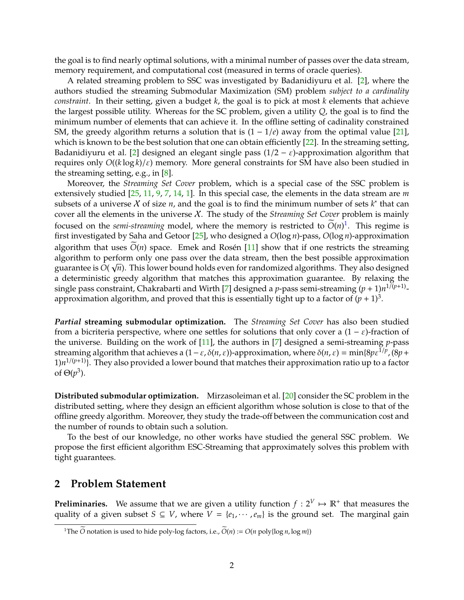<span id="page-2-1"></span>the goal is to find nearly optimal solutions, with a minimal number of passes over the data stream, memory requirement, and computational cost (measured in terms of oracle queries).

A related streaming problem to SSC was investigated by Badanidiyuru et al. [\[2\]](#page-14-0), where the authors studied the streaming Submodular Maximization (SM) problem *subject to a cardinality constraint*. In their setting, given a budget *k*, the goal is to pick at most *k* elements that achieve the largest possible utility. Whereas for the SC problem, given a utility *Q*, the goal is to find the minimum number of elements that can achieve it. In the offline setting of cadinality constrained SM, the greedy algorithm returns a solution that is  $(1 - 1/e)$  away from the optimal value [\[21\]](#page-15-11), which is known to be the best solution that one can obtain efficiently [\[22\]](#page-16-3). In the streaming setting, Badanidiyuru et al. [\[2\]](#page-14-0) designed an elegant single pass  $(1/2 - \varepsilon)$ -approximation algorithm that requires only *O*((*k* log *k*)/ε) memory. More general constraints for SM have also been studied in the streaming setting, e.g., in [\[8\]](#page-15-7).

Moreover, the *Streaming Set Cover* problem, which is a special case of the SSC problem is extensively studied [\[25,](#page-16-2) [11,](#page-15-4) [9,](#page-15-5) [7,](#page-15-9) [14,](#page-15-10) [1\]](#page-14-1). In this special case, the elements in the data stream are *m* subsets of a universe X of size *n*, and the goal is to find the minimum number of sets  $k^*$  that can cover all the elements in the universe X. The study of the *Streaming Set Cover* problem is mainly focused on the *semi-streaming* model, where the memory is restricted to  $O(n)^1$  $O(n)^1$ . This regime is first investigated by Saha and Getoor [\[25\]](#page-16-2), who designed a *O*(log *n*)-pass, *O*(log *n*)-approximation algorithm that uses  $\overline{O}(n)$  space. Emek and Rosén [\[11\]](#page-15-4) show that if one restricts the streaming algorithm to perform only one pass over the data stream, then the best possible approximation √ guarantee is *O*( *n*). This lower bound holds even for randomized algorithms. They also designed a deterministic greedy algorithm that matches this approximation guarantee. By relaxing the single pass constraint, Chakrabarti and Wirth [\[7\]](#page-15-9) designed a *p*-pass semi-streaming (*p* + 1)*n* 1/(*p*+1) approximation algorithm, and proved that this is essentially tight up to a factor of  $(p + 1)^3$ .

*Partial* **streaming submodular optimization.** The *Streaming Set Cover* has also been studied from a bicriteria perspective, where one settles for solutions that only cover a  $(1 - \varepsilon)$ -fraction of the universe. Building on the work of [\[11\]](#page-15-4), the authors in [\[7\]](#page-15-9) designed a semi-streaming *p*-pass streaming algorithm that achieves a (1−ε, δ(*n*, ε))-approximation, where δ(*n*, ε) = min{8*p*ε 1/*p* , (8*p*+ 1)*n* <sup>1</sup>/(*p*+1)}. They also provided a lower bound that matches their approximation ratio up to a factor of  $\Theta(p^3)$ .

**Distributed submodular optimization.** Mirzasoleiman et al. [\[20\]](#page-15-6) consider the SC problem in the distributed setting, where they design an efficient algorithm whose solution is close to that of the offline greedy algorithm. Moreover, they study the trade-off between the communication cost and the number of rounds to obtain such a solution.

To the best of our knowledge, no other works have studied the general SSC problem. We propose the first efficient algorithm ESC-Streaming that approximately solves this problem with tight guarantees.

### **2 Problem Statement**

**Preliminaries.** We assume that we are given a utility function  $f: 2^V \mapsto \mathbb{R}^+$  that measures the quality of a given subset  $S \subseteq V$ , where  $V = \{e_1, \dots, e_m\}$  is the ground set. The marginal gain

<span id="page-2-0"></span><sup>&</sup>lt;sup>1</sup>The  $\widetilde{O}$  notation is used to hide poly-log factors, i.e.,  $\widetilde{O}(n) := O(n \text{ poly} \log n, \log m)$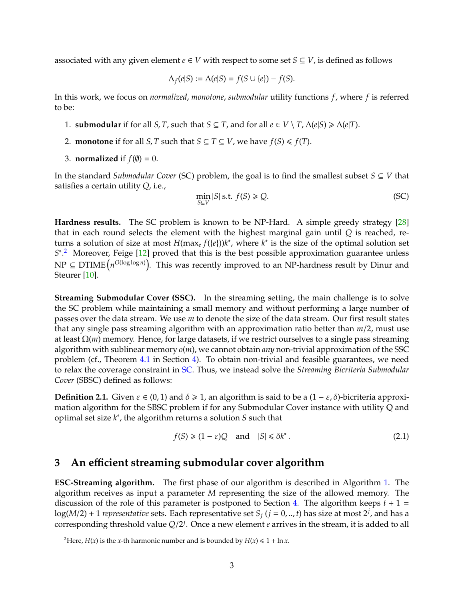<span id="page-3-3"></span>associated with any given element  $e \in V$  with respect to some set  $S \subseteq V$ , is defined as follows

$$
\Delta_f(e|S) := \Delta(e|S) = f(S \cup \{e\}) - f(S).
$$

In this work, we focus on *normalized*, *monotone*, *submodular* utility functions *f*, where *f* is referred to be:

- 1. **submodular** if for all *S*, *T*, such that *S*  $\subseteq$  *T*, and for all  $e \in V \setminus T$ ,  $\Delta(e|S) \ge \Delta(e|T)$ .
- 2. **monotone** if for all *S*, *T* such that *S*  $\subseteq$  *T*  $\subseteq$  *V*, we have *f*(*S*)  $\le$  *f*(*T*).
- 3. **normalized** if  $f(\emptyset) = 0$ .

In the standard *Submodular Cover* (SC) problem, the goal is to find the smallest subset *S* ⊆ *V* that satisfies a certain utility *Q*, i.e.,

<span id="page-3-1"></span>
$$
\min_{S \subseteq V} |S| \text{ s.t. } f(S) \ge Q. \tag{SC}
$$

**Hardness results.** The SC problem is known to be NP-Hard. A simple greedy strategy [\[28\]](#page-16-1) that in each round selects the element with the highest marginal gain until *Q* is reached, returns a solution of size at most  $H(\max_e f({e}))k^*$ , where  $k^*$  is the size of the optimal solution set S<sup>\*</sup>.<sup>[2](#page-3-0)</sup> Moreover, Feige [\[12\]](#page-15-2) proved that this is the best possible approximation guarantee unless  $\text{NP} \subseteq \text{DTIME}\big(n^{\text{O(log log }n)}\big)$ . This was recently improved to an NP-hardness result by Dinur and Steurer [\[10\]](#page-15-3).

**Streaming Submodular Cover (SSC).** In the streaming setting, the main challenge is to solve the SC problem while maintaining a small memory and without performing a large number of passes over the data stream. We use *m* to denote the size of the data stream. Our first result states that any single pass streaming algorithm with an approximation ratio better than *m*/2, must use at least Ω(*m*) memory. Hence, for large datasets, if we restrict ourselves to a single pass streaming algorithm with sublinear memory *o*(*m*), we cannot obtain *any* non-trivial approximation of the SSC problem (cf., Theorem [4.1](#page-4-0) in Section [4\)](#page-4-1). To obtain non-trivial and feasible guarantees, we need to relax the coverage constraint in [SC.](#page-3-1) Thus, we instead solve the *Streaming Bicriteria Submodular Cover* (SBSC) defined as follows:

<span id="page-3-2"></span>**Definition 2.1.** Given  $\varepsilon \in (0,1)$  and  $\delta \ge 1$ , an algorithm is said to be a  $(1 - \varepsilon, \delta)$ -bicriteria approximation algorithm for the SBSC problem if for any Submodular Cover instance with utility Q and optimal set size *k* ∗ , the algorithm returns a solution *S* such that

$$
f(S) \geq (1 - \varepsilon)Q \quad \text{and} \quad |S| \leq \delta k^*.
$$

## **3 An e**ffi**cient streaming submodular cover algorithm**

**ESC-Streaming algorithm.** The first phase of our algorithm is described in Algorithm [1.](#page-4-2) The algorithm receives as input a parameter *M* representing the size of the allowed memory. The discussion of the role of this parameter is postponed to Section [4.](#page-4-1) The algorithm keeps  $t + 1 =$  $\log(M/2) + 1$  *representative* sets. Each representative set  $S_j$   $(j = 0,..,t)$  has size at most  $2^j$ , and has a corresponding threshold value  $Q/2^j$ . Once a new element *e* arrives in the stream, it is added to all

<span id="page-3-0"></span><sup>&</sup>lt;sup>2</sup>Here, *H*(*x*) is the *x*-th harmonic number and is bounded by *H*(*x*)  $\leq 1 + \ln x$ .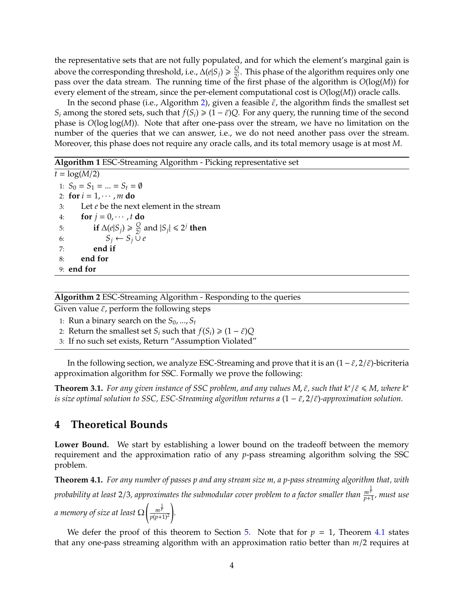the representative sets that are not fully populated, and for which the element's marginal gain is above the corresponding threshold, i.e.,  $\Delta(e|S_j) \geqslant \frac{Q}{2^{j}}$  $\frac{Q}{2}$ . This phase of the algorithm requires only one pass over the data stream. The running time of the first phase of the algorithm is *O*(log(*M*)) for every element of the stream, since the per-element computational cost is *O*(log(*M*)) oracle calls.

In the second phase (i.e., Algorithm [2\)](#page-4-3), given a feasible  $\tilde{\varepsilon}$ , the algorithm finds the smallest set *S*<sup>*i*</sup> among the stored sets, such that  $f(S_i) \geq (1 - \tilde{\varepsilon})Q$ . For any query, the running time of the second phase is *O*(log log(*M*)). Note that after one-pass over the stream, we have no limitation on the number of the queries that we can answer, i.e., we do not need another pass over the stream. Moreover, this phase does not require any oracle calls, and its total memory usage is at most *M*.

#### <span id="page-4-2"></span>**Algorithm 1** ESC-Streaming Algorithm - Picking representative set

 $t = \log(M/2)$ 1:  $S_0 = S_1 = ... = S_t = \emptyset$ 2: **for**  $i = 1, \cdots, m$  **do** 3: Let *e* be the next element in the stream 4: **for**  $j = 0, \cdots, t$  **do** 5: **if**  $\Delta(e|S_j) \geq \frac{Q}{2^j}$  $\frac{Q}{2^j}$  and  $|S_j| \leq 2^j$  then 6:  $S_j \leftarrow S_j \overset{\sim}{\cup} e$ 7: **end if** 8: **end for** 9: **end for**

#### <span id="page-4-3"></span>**Algorithm 2** ESC-Streaming Algorithm - Responding to the queries

Given value  $\tilde{\varepsilon}$ , perform the following steps

- 1: Run a binary search on the  $S_0$ , ...,  $S_t$
- 2: Return the smallest set *S*<sup>*i*</sup> such that  $f(S_i) \geq (1 \tilde{\varepsilon})Q$
- 3: If no such set exists, Return "Assumption Violated"

In the following section, we analyze ESC-Streaming and prove that it is an  $(1-\tilde{\varepsilon},2/\tilde{\varepsilon})$ -bicriteria approximation algorithm for SSC. Formally we prove the following:

<span id="page-4-4"></span>**Theorem 3.1.** *For any given instance of SSC problem, and any values M,*  $\tilde{\varepsilon}$ *, such that*  $k^* / \tilde{\varepsilon} \leq M$ *, where*  $k^*$ *is size optimal solution to SSC, ESC-Streaming algorithm returns a*  $(1 - \tilde{\epsilon}, 2/\tilde{\epsilon})$ *-approximation solution.* 

### <span id="page-4-1"></span>**4 Theoretical Bounds**

**Lower Bound.** We start by establishing a lower bound on the tradeoff between the memory requirement and the approximation ratio of any *p*-pass streaming algorithm solving the SSC problem.

<span id="page-4-0"></span>**Theorem 4.1.** *For any number of passes p and any stream size m, a p-pass streaming algorithm that, with probability at least* 2/3*, approximates the submodular cover problem to a factor smaller than <sup>m</sup>* 1 *p p*+1 *, must use a memory of size at least* Ω  $\int_{-\infty}^{\infty}$ *p*(*p*+1)<sup>2</sup> ! *.*

We defer the proof of this theorem to Section [5.](#page-6-0) Note that for  $p = 1$ , Theorem [4.1](#page-4-0) states that any one-pass streaming algorithm with an approximation ratio better than *m*/2 requires at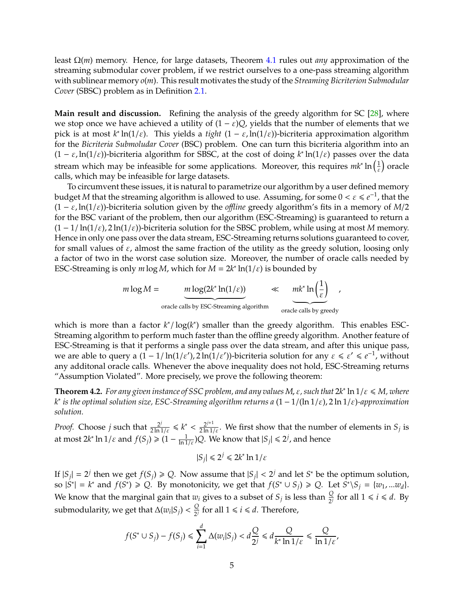<span id="page-5-1"></span>least Ω(*m*) memory. Hence, for large datasets, Theorem [4.1](#page-4-0) rules out *any* approximation of the streaming submodular cover problem, if we restrict ourselves to a one-pass streaming algorithm with sublinear memory *o*(*m*). This result motivates the study of the *Streaming Bicriterion Submodular Cover* (SBSC) problem as in Definition [2.1.](#page-3-2)

**Main result and discussion.** Refining the analysis of the greedy algorithm for SC [\[28\]](#page-16-1), where we stop once we have achieved a utility of  $(1 - \varepsilon)Q$ , yields that the number of elements that we pick is at most *k* ∗ ln(1/ε). This yields a *tight* (1 − ε, ln(1/ε))-bicriteria approximation algorithm for the *Bicriteria Submoludar Cover* (BSC) problem. One can turn this bicriteria algorithm into an  $(1 - \varepsilon, \ln(1/\varepsilon))$ -bicriteria algorithm for SBSC, at the cost of doing  $k^* \ln(1/\varepsilon)$  passes over the data stream which may be infeasible for some applications. Moreover, this requires  $mk^* \ln \left(\frac{1}{\varepsilon}\right)$  oracle calls, which may be infeasible for large datasets.

To circumvent these issues, it is natural to parametrize our algorithm by a user defined memory budget *M* that the streaming algorithm is allowed to use. Assuming, for some  $0 < \varepsilon \le e^{-1}$ , that the  $(1 - \varepsilon, \ln(1/\varepsilon))$ -bicriteria solution given by the *offline* greedy algorithm's fits in a memory of *M*/2 for the BSC variant of the problem, then our algorithm (ESC-Streaming) is guaranteed to return a (1 − 1/ ln(1/ε), 2 ln(1/ε))-bicriteria solution for the SBSC problem, while using at most *M* memory. Hence in only one pass over the data stream, ESC-Streaming returns solutions guaranteed to cover, for small values of  $\varepsilon$ , almost the same fraction of the utility as the greedy solution, loosing only a factor of two in the worst case solution size. Moreover, the number of oracle calls needed by ESC-Streaming is only  $m \log M$ , which for  $M = 2k^* \ln(1/\varepsilon)$  is bounded by

$$
m \log M = \underbrace{m \log(2k^* \ln(1/\varepsilon))}_{\text{oracle calls by ESC-Streaming algorithm}} \ll \underbrace{mk^* \ln\left(\frac{1}{\varepsilon}\right)}_{\text{oracle calls by greedy}}
$$

which is more than a factor  $k^* / log(k^*)$  smaller than the greedy algorithm. This enables ESC-Streaming algorithm to perform much faster than the offline greedy algorithm. Another feature of ESC-Streaming is that it performs a single pass over the data stream, and after this unique pass, we are able to query a  $(1 - 1/\ln(1/\varepsilon'))$  2 $\ln(1/\varepsilon')$ )-bicriteria solution for any  $\varepsilon \leq \varepsilon' \leq e^{-1}$ , without any additonal oracle calls. Whenever the above inequality does not hold, ESC-Streaming returns "Assumption Violated". More precisely, we prove the following theorem:

<span id="page-5-0"></span>**Theorem 4.2.** For any given instance of SSC problem, and any values M,  $\varepsilon$ , such that  $2k^*$   $\ln 1/\varepsilon \le M$ , where *k* ∗ *is the optimal solution size, ESC-Streaming algorithm returns a* (1 − 1/(ln 1/ε), 2 ln 1/ε)*-approximation solution.*

*Proof.* Choose *j* such that  $\frac{2^j}{2 \ln 1/\varepsilon} \le k^* < \frac{2^{j+1}}{2 \ln 1/\varepsilon}$ . We first show that the number of elements in  $S_j$  is at most  $2k^* \ln 1/\varepsilon$  and  $f(S_j) \geqslant (1 - \frac{1}{\ln 1/\varepsilon})Q$ . We know that  $|S_j| \leqslant 2^j$ , and hence

$$
|S_j| \le 2^j \le 2k^* \ln 1/\varepsilon
$$

If  $|S_j| = 2^j$  then we get  $f(S_j) \geq Q$ . Now assume that  $|S_j| < 2^j$  and let  $S^*$  be the optimum solution,  $|S^*| = k^*$  and  $f(S^*) \geq Q$ . By monotonicity, we get that  $f(S^* \cup S_j) \geq Q$ . Let  $S^* \setminus S_j = \{w_1, ... w_d\}$ . We know that the marginal gain that  $w_i$  gives to a subset of  $S_j$  is less than  $\frac{Q}{2^j}$  for all  $1 \leq i \leq d$ . By submodularity, we get that  $\Delta(w_i|S_j) < \frac{Q}{2^j}$  $\frac{Q}{2^j}$  for all  $1 \le i \le d$ . Therefore,

$$
f(S^* \cup S_j) - f(S_j) \le \sum_{i=1}^d \Delta(w_i | S_j) < d \frac{Q}{2^j} \le d \frac{Q}{k^* \ln 1/\varepsilon} \le \frac{Q}{\ln 1/\varepsilon'}
$$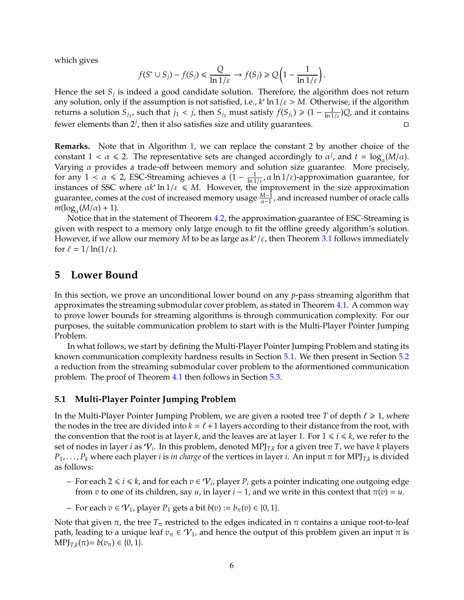which gives

$$
f(S^* \cup S_j) - f(S_j) \leq \frac{Q}{\ln 1/\varepsilon} \to f(S_j) \geq Q\Big(1 - \frac{1}{\ln 1/\varepsilon}\Big).
$$

Hence the set *S<sup>j</sup>* is indeed a good candidate solution. Therefore, the algorithm does not return any solution, only if the assumption is not satisfied, i.e.,  $k^*$  ln  $1/\varepsilon > M$ . Otherwise, if the algorithm returns a solution  $S_{j_1}$ , such that  $j_1 < j$ , then  $S_{j_1}$  must satisfy  $f(S_{j_1}) \geq (1 - \frac{1}{\ln 1/\varepsilon})Q$ , and it contains fewer elements than  $2^j$ , then it also satisfies size and utility guarantees.

**Remarks.** Note that in Algorithm [1,](#page-4-2) we can replace the constant 2 by another choice of the constant  $1 < \alpha \le 2$ . The representative sets are changed accordingly to  $\alpha^j$ , and  $t = \log_{\alpha}(M/\alpha)$ . Varying  $\alpha$  provides a trade-off between memory and solution size guarantee. More precisely, for any  $1 < \alpha \le 2$ , ESC-Streaming achieves a  $(1 - \frac{1}{\ln 1/\varepsilon}, \alpha \ln 1/\varepsilon)$ -approximation guarantee, for instances of SSC where  $\alpha k^* \ln 1/\varepsilon \leq M$ . However, the improvement in the size approximation guarantee, comes at the cost of increased memory usage  $\frac{M-1}{\alpha-1}$ , and increased number of oracle calls  $m(\log_\alpha(M/\alpha)+1)$ .

Notice that in the statement of Theorem [4.2,](#page-5-0) the approximation guarantee of ESC-Streaming is given with respect to a memory only large enough to fit the offline greedy algorithm's solution. However, if we allow our memory *M* to be as large as *k* ∗ /ε, then Theorem [3.1](#page-4-4) follows immediately for  $\tilde{\varepsilon} = 1/\ln(1/\varepsilon)$ .

## <span id="page-6-0"></span>**5 Lower Bound**

In this section, we prove an unconditional lower bound on any *p*-pass streaming algorithm that approximates the streaming submodular cover problem, as stated in Theorem [4.1.](#page-4-0) A common way to prove lower bounds for streaming algorithms is through communication complexity. For our purposes, the suitable communication problem to start with is the Multi-Player Pointer Jumping Problem.

In what follows, we start by defining the Multi-Player Pointer Jumping Problem and stating its known communication complexity hardness results in Section [5.1.](#page-6-1) We then present in Section [5.2](#page-7-0) a reduction from the streaming submodular cover problem to the aformentioned communication problem. The proof of Theorem [4.1](#page-4-0) then follows in Section [5.3.](#page-10-0)

#### <span id="page-6-1"></span>**5.1 Multi-Player Pointer Jumping Problem**

In the Multi-Player Pointer Jumping Problem, we are given a rooted tree *T* of depth  $\ell \geq 1$ , where the nodes in the tree are divided into  $k = \ell + 1$  layers according to their distance from the root, with the convention that the root is at layer *k*, and the leaves are at layer 1. For  $1 \le i \le k$ , we refer to the set of nodes in layer *i* as  $\mathcal{V}_i$ . In this problem, denoted MPJ<sub>T,k</sub> for a given tree T, we have *k* players *P*1, . . . , *P<sup>k</sup>* where each player *i* is *in charge* of the vertices in layer *i*. An input π for MPJ*T*,*<sup>k</sup>* is divided as follows:

- $\vdash$  For each 2 ≤ *i* ≤ *k*, and for each  $v \in \mathcal{V}_i$ , player  $P_i$  gets a pointer indicating one outgoing edge from *v* to one of its children, say *u*, in layer  $i - 1$ , and we write in this context that  $\pi(v) = u$ .
- For each *v* ∈ V1, player *P*<sup>1</sup> gets a bit *b*(*v*) := *b*π(*v*) ∈ {0, 1}.

Note that given  $\pi$ , the tree  $T_{\pi}$  restricted to the edges indicated in  $\pi$  contains a unique root-to-leaf path, leading to a unique leaf  $v_\pi \in V_1$ , and hence the output of this problem given an input  $\pi$  is  $MPI_{T,k}(\pi) = b(v_{\pi}) \in \{0, 1\}.$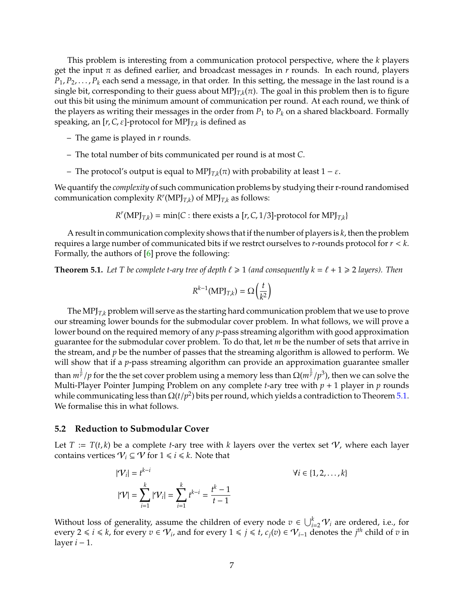<span id="page-7-2"></span>This problem is interesting from a communication protocol perspective, where the *k* players get the input  $\pi$  as defined earlier, and broadcast messages in  $r$  rounds. In each round, players  $P_1, P_2, \ldots, P_k$  each send a message, in that order. In this setting, the message in the last round is a single bit, corresponding to their guess about MPJ $_{T,k}(\pi)$ . The goal in this problem then is to figure out this bit using the minimum amount of communication per round. At each round, we think of the players as writing their messages in the order from  $P_1$  to  $P_k$  on a shared blackboard. Formally speaking, an [*r*,*C*, ε]-protocol for MPJ*T*,*<sup>k</sup>* is defined as

- The game is played in *r* rounds.
- The total number of bits communicated per round is at most *C*.
- $-$  The protocol's output is equal to MPJ<sub>*T*,*k*</sub>(π) with probability at least 1 − ε.

We quantify the *complexity* of such communication problems by studying their r-round randomised communication complexity  $R^r(MPI_{T,k})$  of  $MPI_{T,k}$  as follows:

 $R^r(MPI_{T,k}) = \min\{C : \text{there exists a } [r, C, 1/3] \text{-protocol for } MPJ_{T,k}\}$ 

A result in communication complexity shows that if the number of players is *k*, then the problem requires a large number of communicated bits if we restrct ourselves to *r*-rounds protocol for *r* < *k*. Formally, the authors of [\[6\]](#page-14-2) prove the following:

<span id="page-7-1"></span>**Theorem 5.1.** Let T be complete t-ary tree of depth  $\ell \ge 1$  (and consequently  $k = \ell + 1 \ge 2$  *layers*). Then

$$
R^{k-1}(\text{MPI}_{T,k}) = \Omega\left(\frac{t}{k^2}\right)
$$

The MP $J_{T,k}$  problem will serve as the starting hard communication problem that we use to prove our streaming lower bounds for the submodular cover problem. In what follows, we will prove a lower bound on the required memory of any *p*-pass streaming algorithm with good approximation guarantee for the submodular cover problem. To do that, let *m* be the number of sets that arrive in the stream, and *p* be the number of passes that the streaming algorithm is allowed to perform. We will show that if a *p*-pass streaming algorithm can provide an approximation guarantee smaller than  $m^{\frac{1}{p}}/p$  for the the set cover problem using a memory less than  $\Omega(m^{\frac{1}{p}}/p^3)$ , then we can solve the Multi-Player Pointer Jumping Problem on any complete *t*-ary tree with *p* + 1 player in *p* rounds while communicating less than  $\Omega(t/p^2)$  bits per round, which yields a contradiction to Theorem  $5.1.$ We formalise this in what follows.

#### <span id="page-7-0"></span>**5.2 Reduction to Submodular Cover**

Let  $T := T(t, k)$  be a complete *t*-ary tree with *k* layers over the vertex set  $\mathcal V$ , where each layer contains vertices  $V_i \subseteq V$  for  $1 \le i \le k$ . Note that

$$
|\mathcal{V}_i| = t^{k-i}
$$
  
\n
$$
|\mathcal{V}| = \sum_{i=1}^k |\mathcal{V}_i| = \sum_{i=1}^k t^{k-i} = \frac{t^k - 1}{t - 1}
$$
  
\n
$$
\forall i \in \{1, 2, ..., k\}
$$

Without loss of generality, assume the children of every node  $v \in \bigcup_{i=2}^k \mathcal{V}_i$  are ordered, i.e., for every 2 ≤ *i* ≤ *k*, for every  $v \in V_i$ , and for every  $1 \le j \le t$ ,  $c_j(v) \in V_{i-1}$  denotes the *j*<sup>th</sup> child of *v* in layer *i* − 1.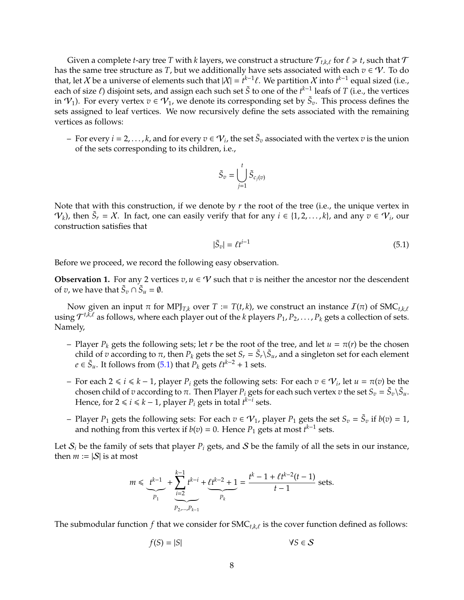Given a complete *t*-ary tree *T* with *k* layers, we construct a structure  $\mathcal{T}_{t,k,\ell}$  for  $\ell \geq t$ , such that  $\mathcal{T}$ has the same tree structure as *T*, but we additionally have sets associated with each  $v \in \mathcal{V}$ . To do that, let X be a universe of elements such that  $|X| = t^{k-1}\ell$ . We partition X into  $t^{k-1}$  equal sized (i.e., each of size  $\ell$ ) disjoint sets, and assign each such set  $\tilde{S}$  to one of the  $t^{k-1}$  leafs of *T* (i.e., the vertices in  $\mathcal{V}_1$ ). For every vertex  $v \in \mathcal{V}_1$ , we denote its corresponding set by  $\tilde{S}_v$ . This process defines the sets assigned to leaf vertices. We now recursively define the sets associated with the remaining vertices as follows:

 $-$  For every  $i = 2, ..., k$ , and for every  $v \in V_i$ , the set  $\tilde{S}_v$  associated with the vertex  $v$  is the union of the sets corresponding to its children, i.e.,

$$
\tilde{S}_v = \bigcup_{j=1}^t \tilde{S}_{c_j(v)}
$$

Note that with this construction, if we denote by *r* the root of the tree (i.e., the unique vertex in  $V_k$ ), then  $\tilde{S}_r = X$ . In fact, one can easily verify that for any  $i \in \{1, 2, ..., k\}$ , and any  $v \in V_i$ , our construction satisfies that

<span id="page-8-0"></span>
$$
|\tilde{S}_v| = \ell t^{i-1} \tag{5.1}
$$

Before we proceed, we record the following easy observation.

<span id="page-8-1"></span>**Observation 1.** For any 2 vertices  $v, u \in V$  such that  $v$  is neither the ancestor nor the descendent of *v*, we have that  $\tilde{S}_v \cap \tilde{S}_u = \emptyset$ .

Now given an input π for MPJ<sub>T,k</sub> over  $T := T(t, k)$ , we construct an instance  $I(π)$  of SMC<sub>t,k,t</sub> using  $\mathcal{T}^{t,\bar{k},\ell}$  as follows, where each player out of the *k* players  $P_1, P_2, \ldots, P_k$  gets a collection of sets. Namely,

- Player  $P_k$  gets the following sets; let *r* be the root of the tree, and let  $u = \pi(r)$  be the chosen child of *v* according to  $\pi$ , then  $P_k$  gets the set  $S_r = \tilde{S}_r \setminus \tilde{S}_u$ , and a singleton set for each element *e* ∈  $\tilde{S}_u$ . It follows from [\(5.1\)](#page-8-0) that  $P_k$  gets  $\ell t^{k-2} + 1$  sets.
- $-$  For each 2 ≤ *i* ≤ *k* − 1, player *P*<sup>*i*</sup> gets the following sets: For each *v* ∈  $V$ <sup>*i*</sup>, let *u* =  $π$ (*v*) be the chosen child of *v* according to  $\pi$ . Then Player  $P_i$  gets for each such vertex *v* the set  $S_v = \tilde{S}_v \backslash \tilde{S}_u$ . Hence, for  $2 \le i \le k - 1$ , player  $P_i$  gets in total  $t^{k-i}$  sets.
- $P_1$  gets the following sets: For each  $v ∈ V_1$ , player  $P_1$  gets the set  $S_v = \tilde{S}_v$  if  $v(v) = 1$ , and nothing from this vertex if  $b(v) = 0$ . Hence  $P_1$  gets at most  $t^{k-1}$  sets.

Let  $S_i$  be the family of sets that player  $P_i$  gets, and S be the family of all the sets in our instance, then  $m := |\mathcal{S}|$  is at most

$$
m \leq \underbrace{t^{k-1}}_{P_1} + \underbrace{\sum_{i=2}^{k-1} t^{k-i}}_{P_2, \ldots, P_{k-1}} + \underbrace{\ell t^{k-2} + 1}_{P_k} = \frac{t^k - 1 + \ell t^{k-2} (t-1)}{t-1} \text{ sets}.
$$

The submodular function  $f$  that we consider for  $SMC_{t,k,\ell}$  is the cover function defined as follows:

$$
f(S) = |S| \qquad \forall S \in \mathcal{S}
$$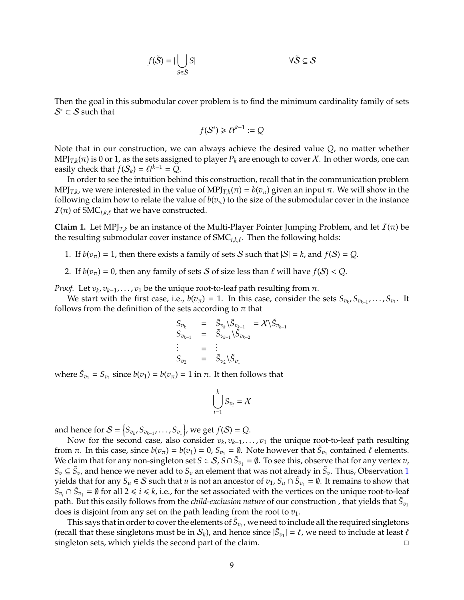$$
f(\tilde{S}) = |\bigcup_{S \in \tilde{S}} S| \qquad \forall \tilde{S} \subseteq S
$$

Then the goal in this submodular cover problem is to find the minimum cardinality family of sets  $\mathcal{S}^* \subset \mathcal{S}$  such that

$$
f(\mathcal{S}^*) \ge \ell t^{k-1} := Q
$$

Note that in our construction, we can always achieve the desired value *Q*, no matter whether  $\text{MPJ}_{T,k}(\pi)$  is  $0$  or  $1$ , as the sets assigned to player  $P_k$  are enough to cover  $\mathcal{X}.$  In other words, one can easily check that  $f(S_k) = \ell t^{k-1} = Q$ .

In order to see the intuition behind this construction, recall that in the communication problem  ${\rm MPJ}_{T,k}$ , we were interested in the value of  ${\rm MPJ}_{T,k}(\pi)$  =  $b(v_\pi)$  given an input π. We will show in the following claim how to relate the value of  $b(v_\pi)$  to the size of the submodular cover in the instance  $I(\pi)$  of SMC<sub>t,k,t</sub> that we have constructed.

<span id="page-9-0"></span>**Claim 1.** Let MPJ<sub>*T<sub>k</sub>* be an instance of the Multi-Player Pointer Jumping Problem, and let  $I(\pi)$  be</sub> the resulting submodular cover instance of  $SMC_{t,k,\ell}$ . Then the following holds:

- 1. If  $b(v_\pi) = 1$ , then there exists a family of sets S such that  $|S| = k$ , and  $f(S) = Q$ .
- 2. If  $b(v_\pi) = 0$ , then any family of sets S of size less than  $\ell$  will have  $f(S) < Q$ .

*Proof.* Let  $v_k$ ,  $v_{k-1}$ , . . . ,  $v_1$  be the unique root-to-leaf path resulting from π.

We start with the first case, i.e.,  $b(v_\pi) = 1$ . In this case, consider the sets  $S_{v_k}, S_{v_{k-1}}, \ldots, S_{v_1}$ . It follows from the definition of the sets according to  $\pi$  that

$$
S_{v_k} = \tilde{S}_{v_k} \setminus \tilde{S}_{v_{k-1}} = \mathcal{X} \setminus \tilde{S}_{v_{k-1}}
$$
  
\n
$$
S_{v_{k-1}} = \tilde{S}_{v_{k-1}} \setminus \tilde{S}_{v_{k-2}}
$$
  
\n
$$
\vdots = \vdots
$$
  
\n
$$
S_{v_2} = \tilde{S}_{v_2} \setminus \tilde{S}_{v_1}
$$

where  $\tilde{S}_{v_1} = S_{v_1}$  since  $b(v_1) = b(v_\pi) = 1$  in  $\pi$ . It then follows that

$$
\bigcup_{i=1}^k S_{v_i} = \mathcal{X}
$$

and hence for  $\mathcal{S} = \left\{ S_{v_k}, S_{v_{k-1}}, \ldots, S_{v_1} \right\}$ , we get  $f(\mathcal{S}) = Q$ .

Now for the second case, also consider  $v_k$ ,  $v_{k-1}$ , . . . ,  $v_1$  the unique root-to-leaf path resulting from  $\pi$ . In this case, since  $b(v_{\pi}) = b(v_1) = 0$ ,  $S_{v_1} = \emptyset$ . Note however that  $\tilde{S}_{v_1}$  contained  $\ell$  elements. We claim that for any non-singleton set  $S \in S$ ,  $S \cap \tilde{S}_{v_1} = \emptyset$ . To see this, observe that for any vertex *v*,  $S_v \subseteq \tilde{S}_v$ , and hence we never add to  $S_v$  an element that was not already in  $\tilde{S}_v$ . Thus, Observation [1](#page-8-1) yields that for any  $S_u \in S$  such that *u* is not an ancestor of  $v_1$ ,  $S_u \cap \tilde{S}_{v_1} = \emptyset$ . It remains to show that  $S_{v_i} ∩ S_{v_1} = ∅$  for all 2 ≤ *i* ≤ *k*, i.e., for the set associated with the vertices on the unique root-to-leaf path. But this easily follows from the *child-exclusion nature* of our construction , that yields that  $\tilde{S}_{v_1}$ does is disjoint from any set on the path leading from the root to *v*1.

This says that in order to cover the elements of  $\tilde{S}_{v_1}$ , we need to include all the required singletons (recall that these singletons must be in  $S_k$ ), and hence since  $|\tilde{S}_{v_1}| = \ell$ , we need to include at least  $\ell$ singleton sets, which yields the second part of the claim.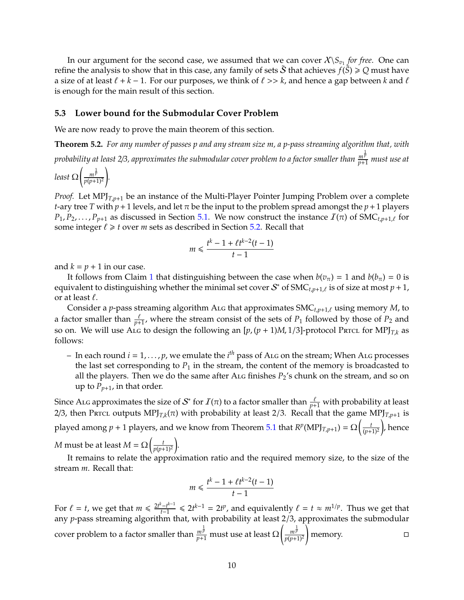In our argument for the second case, we assumed that we can cover  $X\setminus S_{v_1}$  *for free*. One can refine the analysis to show that in this case, any family of sets  $\tilde{\cal S}$  that achieves  $f(\tilde{\cal S})\geqslant Q$  must have a size of at least  $\ell + k - 1$ . For our purposes, we think of  $\ell >> k$ , and hence a gap between k and  $\ell$ is enough for the main result of this section.

#### <span id="page-10-0"></span>**5.3 Lower bound for the Submodular Cover Problem**

We are now ready to prove the main theorem of this section.

**Theorem 5.2.** *For any number of passes p and any stream size m, a p-pass streaming algorithm that, with*

*probability at least 2*/*3, approximates the submodular cover problem to a factor smaller than <sup>m</sup>* 1 *p <sup>p</sup>*+<sup>1</sup> *must use at*

*least* Ω  $\int_{\frac{\ln \bar{p}}{2}}$ *p*(*p*+1)<sup>2</sup> ! *.*

*Proof.* Let MPJ<sub>*T<sub>,p+1</sub>* be an instance of the Multi-Player Pointer Jumping Problem over a complete</sub> *t*-ary tree *T* with  $p + 1$  levels, and let  $\pi$  be the input to the problem spread amongst the  $p + 1$  players  $P_1, P_2, \ldots, P_{p+1}$  as discussed in Section [5.1.](#page-6-1) We now construct the instance  $\mathcal{I}(\pi)$  of SMC<sub>*t,p+1,* for</sub> some integer  $\ell \geq t$  over *m* sets as described in Section [5.2.](#page-7-0) Recall that

$$
m\leq \frac{t^k-1+\ell t^{k-2}(t-1)}{t-1}
$$

and  $k = p + 1$  in our case.

It follows from Claim [1](#page-9-0) that distinguishing between the case when  $b(v_\pi) = 1$  and  $b(b_\pi) = 0$  is equivalent to distinguishing whether the minimal set cover  $S^*$  of SMC<sub>t,p+1, $\ell$ </sub> is of size at most  $p + 1$ , or at least  $\ell$ .

Consider a *p*-pass streaming algorithm ALG that approximates  $SMC_{t,p+1,\ell}$  using memory *M*, to a factor smaller than  $\frac{\ell}{p+1}$ , where the stream consist of the sets of  $P_1$  followed by those of  $P_2$  and so on. We will use ALG to design the following an  $[p,(p+1)M,1/3]$ -protocol Prtcl for MPJ<sub>*T<sub>k</sub>*</sub> as follows:

– In each round *i* = 1, . . . , *p*, we emulate the *i th* pass of Alg on the stream; When Alg processes the last set corresponding to  $P_1$  in the stream, the content of the memory is broadcasted to all the players. Then we do the same after  $A_{\text{LG}}$  finishes  $P_2$ 's chunk on the stream, and so on up to  $P_{p+1}$ , in that order.

Since ALG approximates the size of  $\mathcal{S}^*$  for  $I(\pi)$  to a factor smaller than  $\frac{\ell}{p+1}$  with probability at least 2/3, then Prrcl outputs  ${\rm MPJ}_{T,k}(\pi)$  with probability at least 2/3. Recall that the game  ${\rm MPJ}_{T,p+1}$  is played among  $p + 1$  players, and we know from Theorem [5.1](#page-7-1) that  $R^p(\text{MPJ}_{T,p+1}) = \Omega\Big(\frac{t}{(p+1)^2}\Big)$ , hence

*M* must be at least  $M = \Omega\left(\frac{t}{p(p+1)^2}\right)$ .

It remains to relate the approximation ratio and the required memory size, to the size of the stream *m*. Recall that:

$$
m \leq \frac{t^k - 1 + \ell t^{k-2}(t-1)}{t-1}
$$

For  $\ell = t$ , we get that  $m \leq \frac{2t^k - t^{k-1}}{t-1}$  $\frac{f^2-t^{k-1}}{t-1}$  ≤ 2*t*<sup>k-1</sup> = 2*t*<sup>*p*</sup>, and equivalently  $\ell = t \approx m^{1/p}$ . Thus we get that any *p*-pass streaming algorithm that, with probability at least 2/3, approximates the submodular cover problem to a factor smaller than  $\frac{m^{\frac{1}{p}}}{p+1}$  must use at least Ω  $\int_{-\infty}^{\infty}$ *p*(*p*+1)<sup>2</sup> **n** memory. □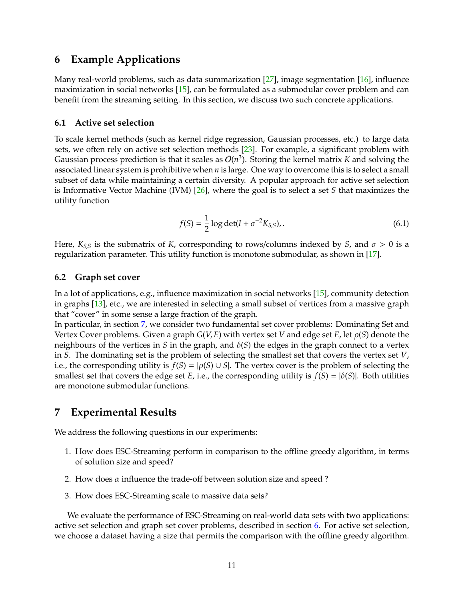## <span id="page-11-3"></span><span id="page-11-1"></span>**6 Example Applications**

Many real-world problems, such as data summarization  $[27]$ , image segmentation  $[16]$ , influence maximization in social networks [\[15\]](#page-15-1), can be formulated as a submodular cover problem and can benefit from the streaming setting. In this section, we discuss two such concrete applications.

#### <span id="page-11-2"></span>**6.1 Active set selection**

To scale kernel methods (such as kernel ridge regression, Gaussian processes, etc.) to large data sets, we often rely on active set selection methods [\[23\]](#page-16-4). For example, a significant problem with Gaussian process prediction is that it scales as  $O(n^3)$ . Storing the kernel matrix *K* and solving the associated linear system is prohibitive when *n* is large. One way to overcome this is to select a small subset of data while maintaining a certain diversity. A popular approach for active set selection is Informative Vector Machine (IVM) [\[26\]](#page-16-5), where the goal is to select a set *S* that maximizes the utility function

$$
f(S) = \frac{1}{2} \log \det(I + \sigma^{-2} K_{S,S}),
$$
\n(6.1)

Here,  $K_{S,S}$  is the submatrix of *K*, corresponding to rows/columns indexed by *S*, and  $\sigma > 0$  is a regularization parameter. This utility function is monotone submodular, as shown in [\[17\]](#page-15-12).

### **6.2 Graph set cover**

In a lot of applications, e.g., influence maximization in social networks [\[15\]](#page-15-1), community detection in graphs [\[13\]](#page-15-13), etc., we are interested in selecting a small subset of vertices from a massive graph that "cover" in some sense a large fraction of the graph.

In particular, in section [7,](#page-11-0) we consider two fundamental set cover problems: Dominating Set and Vertex Cover problems. Given a graph *G*(*V*, *E*) with vertex set *V* and edge set *E*, let ρ(*S*) denote the neighbours of the vertices in *S* in the graph, and δ(*S*) the edges in the graph connect to a vertex in *S*. The dominating set is the problem of selecting the smallest set that covers the vertex set *V*, i.e., the corresponding utility is  $f(S) = |\rho(S) \cup S|$ . The vertex cover is the problem of selecting the smallest set that covers the edge set *E*, i.e., the corresponding utility is  $f(S) = |\delta(S)|$ . Both utilities are monotone submodular functions.

## <span id="page-11-0"></span>**7 Experimental Results**

We address the following questions in our experiments:

- 1. How does ESC-Streaming perform in comparison to the offline greedy algorithm, in terms of solution size and speed?
- 2. How does  $\alpha$  influence the trade-off between solution size and speed ?
- 3. How does ESC-Streaming scale to massive data sets?

We evaluate the performance of ESC-Streaming on real-world data sets with two applications: active set selection and graph set cover problems, described in section [6.](#page-11-1) For active set selection, we choose a dataset having a size that permits the comparison with the offline greedy algorithm.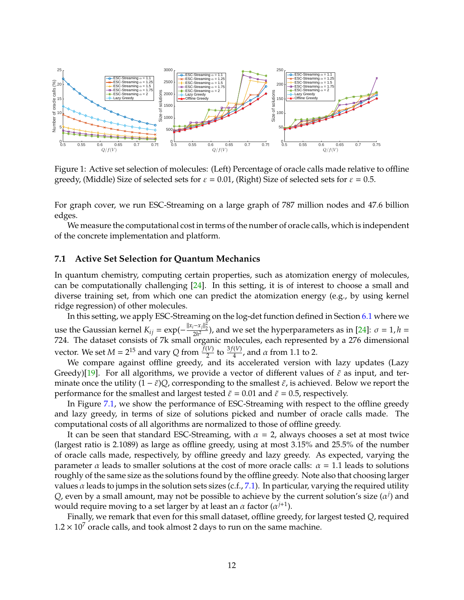<span id="page-12-1"></span>

Figure 1: Active set selection of molecules: (Left) Percentage of oracle calls made relative to offline greedy, (Middle) Size of selected sets for  $\varepsilon = 0.01$ , (Right) Size of selected sets for  $\varepsilon = 0.5$ .

For graph cover, we run ESC-Streaming on a large graph of 787 million nodes and 47.6 billion edges.

We measure the computational cost in terms of the number of oracle calls, which is independent of the concrete implementation and platform.

#### <span id="page-12-0"></span>**7.1 Active Set Selection for Quantum Mechanics**

In quantum chemistry, computing certain properties, such as atomization energy of molecules, can be computationally challenging [\[24\]](#page-16-6). In this setting, it is of interest to choose a small and diverse training set, from which one can predict the atomization energy (e.g., by using kernel ridge regression) of other molecules.

In this setting, we apply ESC-Streaming on the log-det function defined in Section [6.1](#page-11-2) where we use the Gaussian kernel  $K_{ij} = \exp(-\frac{||x_i - x_j||_2^2}{2h^2})$ , and we set the hyperparameters as in [\[24\]](#page-16-6):  $\sigma = 1$ ,  $h =$ 724. The dataset consists of 7k small organic molecules, each represented by a 276 dimensional vector. We set  $M = 2^{15}$  and vary *Q* from  $\frac{f(V)}{2}$  to  $\frac{3f(V)}{4}$ , and  $\alpha$  from 1.1 to 2.

We compare against offline greedy, and its accelerated version with lazy updates (Lazy Greedy)[\[19\]](#page-15-14). For all algorithms, we provide a vector of different values of  $\tilde{\varepsilon}$  as input, and terminate once the utility  $(1 - \tilde{\varepsilon})Q$ , corresponding to the smallest  $\tilde{\varepsilon}$ , is achieved. Below we report the performance for the smallest and largest tested  $\tilde{\varepsilon} = 0.01$  and  $\tilde{\varepsilon} = 0.5$ , respectively.

In Figure [7.1,](#page-12-0) we show the performance of ESC-Streaming with respect to the offline greedy and lazy greedy, in terms of size of solutions picked and number of oracle calls made. The computational costs of all algorithms are normalized to those of offline greedy.

It can be seen that standard ESC-Streaming, with  $\alpha = 2$ , always chooses a set at most twice (largest ratio is 2.1089) as large as offline greedy, using at most 3.15% and 25.5% of the number of oracle calls made, respectively, by offline greedy and lazy greedy. As expected, varying the parameter  $\alpha$  leads to smaller solutions at the cost of more oracle calls:  $\alpha = 1.1$  leads to solutions roughly of the same size as the solutions found by the offline greedy. Note also that choosing larger values  $\alpha$  leads to jumps in the solution sets sizes (c.f., [7.1\)](#page-12-0). In particular, varying the required utility  $Q$ , even by a small amount, may not be possible to achieve by the current solution's size  $(\alpha^j)$  and would require moving to a set larger by at least an  $\alpha$  factor ( $\alpha^{j+1}$ ).

Finally, we remark that even for this small dataset, offline greedy, for largest tested *Q*, required  $1.2 \times 10^7$  oracle calls, and took almost 2 days to run on the same machine.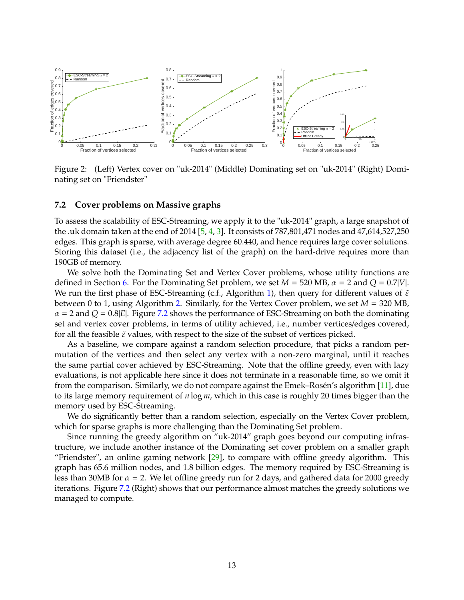<span id="page-13-1"></span>

Figure 2: (Left) Vertex cover on "uk-2014" (Middle) Dominating set on "uk-2014" (Right) Dominating set on "Friendster"

#### <span id="page-13-0"></span>**7.2 Cover problems on Massive graphs**

To assess the scalability of ESC-Streaming, we apply it to the "uk-2014" graph, a large snapshot of the .uk domain taken at the end of 2014 [\[5,](#page-14-3) [4,](#page-14-4) [3\]](#page-14-5). It consists of 787,801,471 nodes and 47,614,527,250 edges. This graph is sparse, with average degree 60.440, and hence requires large cover solutions. Storing this dataset (i.e., the adjacency list of the graph) on the hard-drive requires more than 190GB of memory.

We solve both the Dominating Set and Vertex Cover problems, whose utility functions are defined in Section [6.](#page-11-1) For the Dominating Set problem, we set  $M = 520$  MB,  $\alpha = 2$  and  $Q = 0.7|V|$ . We run the first phase of ESC-Streaming (c.f., Algorithm [1\)](#page-4-2), then query for different values of  $\tilde{\varepsilon}$ between 0 to 1, using Algorithm [2.](#page-4-3) Similarly, for the Vertex Cover problem, we set *M* = 320 MB,  $\alpha = 2$  and  $Q = 0.8$ [*E*]. Figure [7.2](#page-13-0) shows the performance of ESC-Streaming on both the dominating set and vertex cover problems, in terms of utility achieved, i.e., number vertices/edges covered, for all the feasible  $\tilde{\varepsilon}$  values, with respect to the size of the subset of vertices picked.

As a baseline, we compare against a random selection procedure, that picks a random permutation of the vertices and then select any vertex with a non-zero marginal, until it reaches the same partial cover achieved by ESC-Streaming. Note that the offline greedy, even with lazy evaluations, is not applicable here since it does not terminate in a reasonable time, so we omit it from the comparison. Similarly, we do not compare against the Emek–Rosén's algorithm [\[11\]](#page-15-4), due to its large memory requirement of *n* log *m*, which in this case is roughly 20 times bigger than the memory used by ESC-Streaming.

We do significantly better than a random selection, especially on the Vertex Cover problem, which for sparse graphs is more challenging than the Dominating Set problem.

Since running the greedy algorithm on "uk-2014" graph goes beyond our computing infrastructure, we include another instance of the Dominating set cover problem on a smaller graph "Friendster", an online gaming network  $[29]$ , to compare with offline greedy algorithm. This graph has 65.6 million nodes, and 1.8 billion edges. The memory required by ESC-Streaming is less than 30MB for  $\alpha = 2$ . We let offline greedy run for 2 days, and gathered data for 2000 greedy iterations. Figure [7.2](#page-13-0) (Right) shows that our performance almost matches the greedy solutions we managed to compute.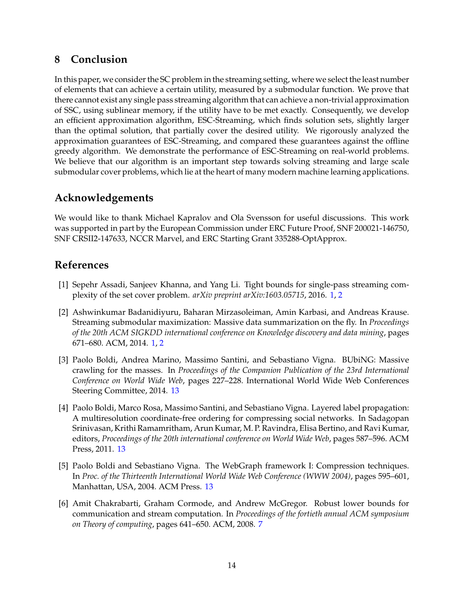## **8 Conclusion**

In this paper, we consider the SC problem in the streaming setting, where we select the least number of elements that can achieve a certain utility, measured by a submodular function. We prove that there cannot exist any single pass streaming algorithm that can achieve a non-trivial approximation of SSC, using sublinear memory, if the utility have to be met exactly. Consequently, we develop an efficient approximation algorithm, ESC-Streaming, which finds solution sets, slightly larger than the optimal solution, that partially cover the desired utility. We rigorously analyzed the approximation guarantees of ESC-Streaming, and compared these guarantees against the offline greedy algorithm. We demonstrate the performance of ESC-Streaming on real-world problems. We believe that our algorithm is an important step towards solving streaming and large scale submodular cover problems, which lie at the heart of many modern machine learning applications.

## **Acknowledgements**

We would like to thank Michael Kapralov and Ola Svensson for useful discussions. This work was supported in part by the European Commission under ERC Future Proof, SNF 200021-146750, SNF CRSII2-147633, NCCR Marvel, and ERC Starting Grant 335288-OptApprox.

## **References**

- <span id="page-14-1"></span>[1] Sepehr Assadi, Sanjeev Khanna, and Yang Li. Tight bounds for single-pass streaming complexity of the set cover problem. *arXiv preprint arXiv:1603.05715*, 2016. [1,](#page-0-0) [2](#page-2-1)
- <span id="page-14-0"></span>[2] Ashwinkumar Badanidiyuru, Baharan Mirzasoleiman, Amin Karbasi, and Andreas Krause. Streaming submodular maximization: Massive data summarization on the fly. In *Proceedings of the 20th ACM SIGKDD international conference on Knowledge discovery and data mining*, pages 671–680. ACM, 2014. [1,](#page-0-0) [2](#page-2-1)
- <span id="page-14-5"></span>[3] Paolo Boldi, Andrea Marino, Massimo Santini, and Sebastiano Vigna. BUbiNG: Massive crawling for the masses. In *Proceedings of the Companion Publication of the 23rd International Conference on World Wide Web*, pages 227–228. International World Wide Web Conferences Steering Committee, 2014. [13](#page-13-1)
- <span id="page-14-4"></span>[4] Paolo Boldi, Marco Rosa, Massimo Santini, and Sebastiano Vigna. Layered label propagation: A multiresolution coordinate-free ordering for compressing social networks. In Sadagopan Srinivasan, Krithi Ramamritham, Arun Kumar, M. P. Ravindra, Elisa Bertino, and Ravi Kumar, editors, *Proceedings of the 20th international conference on World Wide Web*, pages 587–596. ACM Press, 2011. [13](#page-13-1)
- <span id="page-14-3"></span>[5] Paolo Boldi and Sebastiano Vigna. The WebGraph framework I: Compression techniques. In *Proc. of the Thirteenth International World Wide Web Conference (WWW 2004)*, pages 595–601, Manhattan, USA, 2004. ACM Press. [13](#page-13-1)
- <span id="page-14-2"></span>[6] Amit Chakrabarti, Graham Cormode, and Andrew McGregor. Robust lower bounds for communication and stream computation. In *Proceedings of the fortieth annual ACM symposium on Theory of computing*, pages 641–650. ACM, 2008. [7](#page-7-2)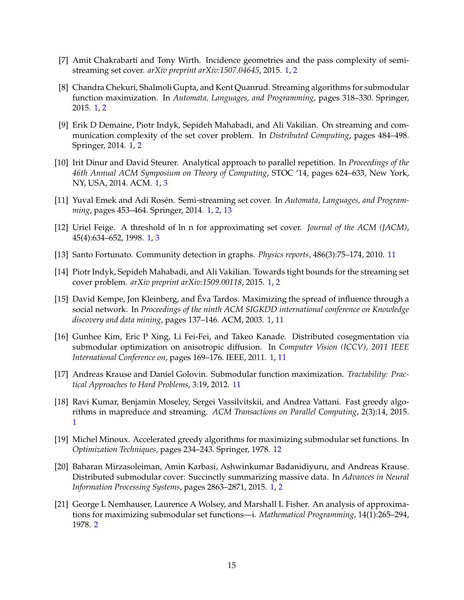- <span id="page-15-9"></span>[7] Amit Chakrabarti and Tony Wirth. Incidence geometries and the pass complexity of semistreaming set cover. *arXiv preprint arXiv:1507.04645*, 2015. [1,](#page-0-0) [2](#page-2-1)
- <span id="page-15-7"></span>[8] Chandra Chekuri, Shalmoli Gupta, and Kent Quanrud. Streaming algorithms for submodular function maximization. In *Automata, Languages, and Programming*, pages 318–330. Springer, 2015. [1,](#page-0-0) [2](#page-2-1)
- <span id="page-15-5"></span>[9] Erik D Demaine, Piotr Indyk, Sepideh Mahabadi, and Ali Vakilian. On streaming and communication complexity of the set cover problem. In *Distributed Computing*, pages 484–498. Springer, 2014. [1,](#page-0-0) [2](#page-2-1)
- <span id="page-15-3"></span>[10] Irit Dinur and David Steurer. Analytical approach to parallel repetition. In *Proceedings of the 46th Annual ACM Symposium on Theory of Computing*, STOC '14, pages 624–633, New York, NY, USA, 2014. ACM. [1,](#page-0-0) [3](#page-3-3)
- <span id="page-15-4"></span>[11] Yuval Emek and Adi Rosén. Semi-streaming set cover. In *Automata, Languages, and Programming*, pages 453–464. Springer, 2014. [1,](#page-0-0) [2,](#page-2-1) [13](#page-13-1)
- <span id="page-15-2"></span>[12] Uriel Feige. A threshold of ln n for approximating set cover. *Journal of the ACM (JACM)*, 45(4):634–652, 1998. [1,](#page-0-0) [3](#page-3-3)
- <span id="page-15-13"></span>[13] Santo Fortunato. Community detection in graphs. *Physics reports*, 486(3):75–174, 2010. [11](#page-11-3)
- <span id="page-15-10"></span>[14] Piotr Indyk, Sepideh Mahabadi, and Ali Vakilian. Towards tight bounds for the streaming set cover problem. *arXiv preprint arXiv:1509.00118*, 2015. [1,](#page-0-0) [2](#page-2-1)
- <span id="page-15-1"></span>[15] David Kempe, Jon Kleinberg, and Éva Tardos. Maximizing the spread of influence through a social network. In *Proceedings of the ninth ACM SIGKDD international conference on Knowledge discovery and data mining*, pages 137–146. ACM, 2003. [1,](#page-0-0) [11](#page-11-3)
- <span id="page-15-0"></span>[16] Gunhee Kim, Eric P Xing, Li Fei-Fei, and Takeo Kanade. Distributed cosegmentation via submodular optimization on anisotropic diffusion. In *Computer Vision (ICCV), 2011 IEEE International Conference on*, pages 169–176. IEEE, 2011. [1,](#page-0-0) [11](#page-11-3)
- <span id="page-15-12"></span>[17] Andreas Krause and Daniel Golovin. Submodular function maximization. *Tractability: Practical Approaches to Hard Problems*, 3:19, 2012. [11](#page-11-3)
- <span id="page-15-8"></span>[18] Ravi Kumar, Benjamin Moseley, Sergei Vassilvitskii, and Andrea Vattani. Fast greedy algorithms in mapreduce and streaming. *ACM Transactions on Parallel Computing*, 2(3):14, 2015. [1](#page-0-0)
- <span id="page-15-14"></span>[19] Michel Minoux. Accelerated greedy algorithms for maximizing submodular set functions. In *Optimization Techniques*, pages 234–243. Springer, 1978. [12](#page-12-1)
- <span id="page-15-6"></span>[20] Baharan Mirzasoleiman, Amin Karbasi, Ashwinkumar Badanidiyuru, and Andreas Krause. Distributed submodular cover: Succinctly summarizing massive data. In *Advances in Neural Information Processing Systems*, pages 2863–2871, 2015. [1,](#page-0-0) [2](#page-2-1)
- <span id="page-15-11"></span>[21] George L Nemhauser, Laurence A Wolsey, and Marshall L Fisher. An analysis of approximations for maximizing submodular set functions—i. *Mathematical Programming*, 14(1):265–294, 1978. [2](#page-2-1)